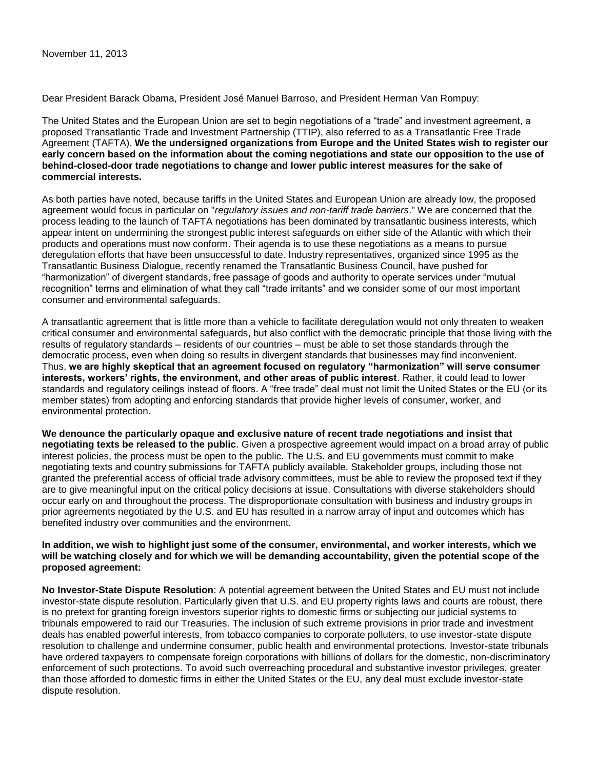Dear President Barack Obama, President José Manuel Barroso, and President Herman Van Rompuy:

The United States and the European Union are set to begin negotiations of a "trade" and investment agreement, a proposed Transatlantic Trade and Investment Partnership (TTIP), also referred to as a Transatlantic Free Trade Agreement (TAFTA). **We the undersigned organizations from Europe and the United States wish to register our early concern based on the information about the coming negotiations and state our opposition to the use of behind-closed-door trade negotiations to change and lower public interest measures for the sake of commercial interests.** 

As both parties have noted, because tariffs in the United States and European Union are already low, the proposed agreement would focus in particular on "*regulatory issues and non-tariff trade barriers*." We are concerned that the process leading to the launch of TAFTA negotiations has been dominated by transatlantic business interests, which appear intent on undermining the strongest public interest safeguards on either side of the Atlantic with which their products and operations must now conform. Their agenda is to use these negotiations as a means to pursue deregulation efforts that have been unsuccessful to date. Industry representatives, organized since 1995 as the Transatlantic Business Dialogue, recently renamed the Transatlantic Business Council, have pushed for "harmonization" of divergent standards, free passage of goods and authority to operate services under "mutual recognition" terms and elimination of what they call "trade irritants" and we consider some of our most important consumer and environmental safeguards.

A transatlantic agreement that is little more than a vehicle to facilitate deregulation would not only threaten to weaken critical consumer and environmental safeguards, but also conflict with the democratic principle that those living with the results of regulatory standards – residents of our countries – must be able to set those standards through the democratic process, even when doing so results in divergent standards that businesses may find inconvenient. Thus, **we are highly skeptical that an agreement focused on regulatory "harmonization" will serve consumer interests, workers' rights, the environment, and other areas of public interest**. Rather, it could lead to lower standards and regulatory ceilings instead of floors. A "free trade" deal must not limit the United States or the EU (or its member states) from adopting and enforcing standards that provide higher levels of consumer, worker, and environmental protection.

**We denounce the particularly opaque and exclusive nature of recent trade negotiations and insist that negotiating texts be released to the public**. Given a prospective agreement would impact on a broad array of public interest policies, the process must be open to the public. The U.S. and EU governments must commit to make negotiating texts and country submissions for TAFTA publicly available. Stakeholder groups, including those not granted the preferential access of official trade advisory committees, must be able to review the proposed text if they are to give meaningful input on the critical policy decisions at issue. Consultations with diverse stakeholders should occur early on and throughout the process. The disproportionate consultation with business and industry groups in prior agreements negotiated by the U.S. and EU has resulted in a narrow array of input and outcomes which has benefited industry over communities and the environment.

## **In addition, we wish to highlight just some of the consumer, environmental, and worker interests, which we will be watching closely and for which we will be demanding accountability, given the potential scope of the proposed agreement:**

**No Investor-State Dispute Resolution**: A potential agreement between the United States and EU must not include investor-state dispute resolution. Particularly given that U.S. and EU property rights laws and courts are robust, there is no pretext for granting foreign investors superior rights to domestic firms or subjecting our judicial systems to tribunals empowered to raid our Treasuries. The inclusion of such extreme provisions in prior trade and investment deals has enabled powerful interests, from tobacco companies to corporate polluters, to use investor-state dispute resolution to challenge and undermine consumer, public health and environmental protections. Investor-state tribunals have ordered taxpayers to compensate foreign corporations with billions of dollars for the domestic, non-discriminatory enforcement of such protections. To avoid such overreaching procedural and substantive investor privileges, greater than those afforded to domestic firms in either the United States or the EU, any deal must exclude investor-state dispute resolution.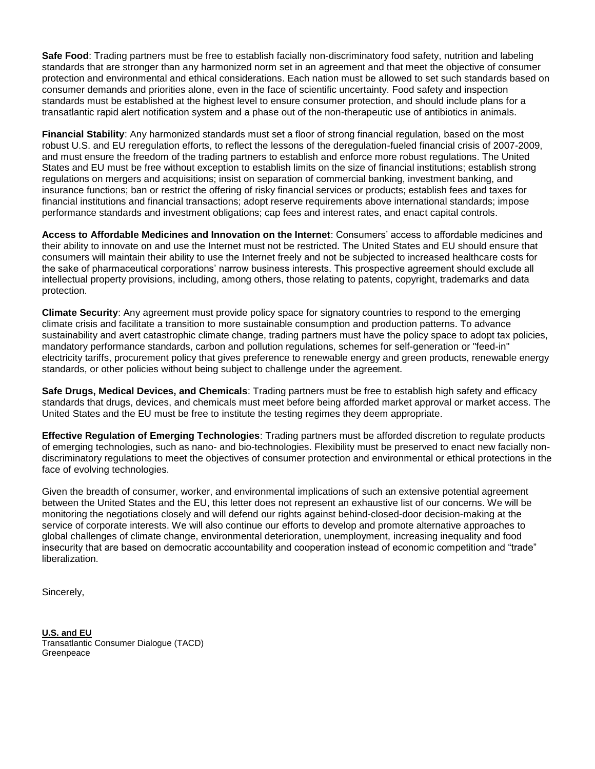**Safe Food**: Trading partners must be free to establish facially non-discriminatory food safety, nutrition and labeling standards that are stronger than any harmonized norm set in an agreement and that meet the objective of consumer protection and environmental and ethical considerations. Each nation must be allowed to set such standards based on consumer demands and priorities alone, even in the face of scientific uncertainty. Food safety and inspection standards must be established at the highest level to ensure consumer protection, and should include plans for a transatlantic rapid alert notification system and a phase out of the non-therapeutic use of antibiotics in animals.

**Financial Stability**: Any harmonized standards must set a floor of strong financial regulation, based on the most robust U.S. and EU reregulation efforts, to reflect the lessons of the deregulation-fueled financial crisis of 2007-2009, and must ensure the freedom of the trading partners to establish and enforce more robust regulations. The United States and EU must be free without exception to establish limits on the size of financial institutions; establish strong regulations on mergers and acquisitions; insist on separation of commercial banking, investment banking, and insurance functions; ban or restrict the offering of risky financial services or products; establish fees and taxes for financial institutions and financial transactions; adopt reserve requirements above international standards; impose performance standards and investment obligations; cap fees and interest rates, and enact capital controls.

**Access to Affordable Medicines and Innovation on the Internet**: Consumers' access to affordable medicines and their ability to innovate on and use the Internet must not be restricted. The United States and EU should ensure that consumers will maintain their ability to use the Internet freely and not be subjected to increased healthcare costs for the sake of pharmaceutical corporations' narrow business interests. This prospective agreement should exclude all intellectual property provisions, including, among others, those relating to patents, copyright, trademarks and data protection.

**Climate Security**: Any agreement must provide policy space for signatory countries to respond to the emerging climate crisis and facilitate a transition to more sustainable consumption and production patterns. To advance sustainability and avert catastrophic climate change, trading partners must have the policy space to adopt tax policies, mandatory performance standards, carbon and pollution regulations, schemes for self-generation or "feed-in" electricity tariffs, procurement policy that gives preference to renewable energy and green products, renewable energy standards, or other policies without being subject to challenge under the agreement.

**Safe Drugs, Medical Devices, and Chemicals**: Trading partners must be free to establish high safety and efficacy standards that drugs, devices, and chemicals must meet before being afforded market approval or market access. The United States and the EU must be free to institute the testing regimes they deem appropriate.

**Effective Regulation of Emerging Technologies**: Trading partners must be afforded discretion to regulate products of emerging technologies, such as nano- and bio-technologies. Flexibility must be preserved to enact new facially nondiscriminatory regulations to meet the objectives of consumer protection and environmental or ethical protections in the face of evolving technologies.

Given the breadth of consumer, worker, and environmental implications of such an extensive potential agreement between the United States and the EU, this letter does not represent an exhaustive list of our concerns. We will be monitoring the negotiations closely and will defend our rights against behind-closed-door decision-making at the service of corporate interests. We will also continue our efforts to develop and promote alternative approaches to global challenges of climate change, environmental deterioration, unemployment, increasing inequality and food insecurity that are based on democratic accountability and cooperation instead of economic competition and "trade" liberalization.

Sincerely,

**U.S. and EU**  Transatlantic Consumer Dialogue (TACD) Greenpeace